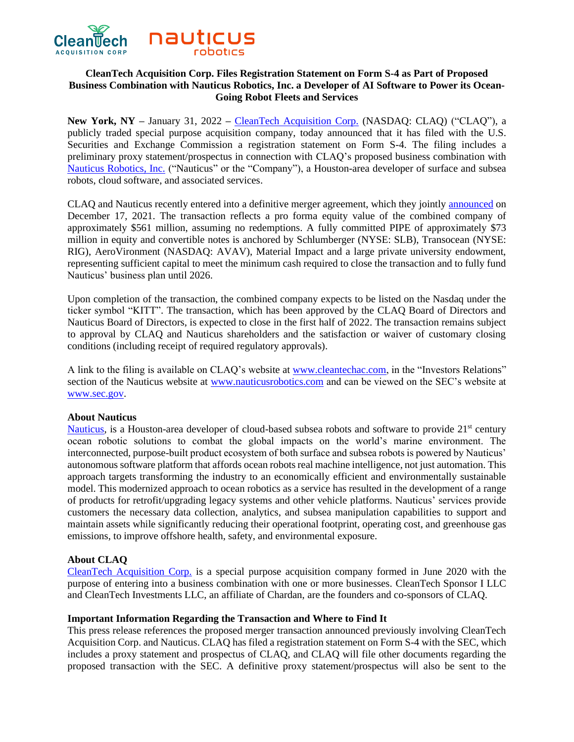

# **CleanTech Acquisition Corp. Files Registration Statement on Form S-4 as Part of Proposed Business Combination with Nauticus Robotics, Inc. a Developer of AI Software to Power its Ocean-Going Robot Fleets and Services**

**New York, NY –** January 31, 2022 **–** [CleanTech Acquisition Corp.](https://www.cleantechac.com/) (NASDAQ: CLAQ) ("CLAQ"), a publicly traded special purpose acquisition company, today announced that it has filed with the U.S. Securities and Exchange Commission a registration statement on Form S-4. The filing includes a preliminary proxy statement/prospectus in connection with CLAQ's proposed business combination with [Nauticus Robotics, Inc.](https://nauticusrobotics.com/) ("Nauticus" or the "Company"), a Houston-area developer of surface and subsea robots, cloud software, and associated services.

CLAQ and Nauticus recently entered into a definitive merger agreement, which they jointly [announced](https://www.globenewswire.com/news-release/2021/12/17/2354396/0/en/Nauticus-Robotics-a-Developer-of-Cloud-Based-AI-Software-to-Power-its-Ocean-Robots-and-Services-to-Become-a-Publicly-Traded-Company-Via-Merger-with-CleanTech-Acquisition-Corp.html) on December 17, 2021. The transaction reflects a pro forma equity value of the combined company of approximately \$561 million, assuming no redemptions. A fully committed PIPE of approximately \$73 million in equity and convertible notes is anchored by Schlumberger (NYSE: SLB), Transocean (NYSE: RIG), AeroVironment (NASDAQ: AVAV), Material Impact and a large private university endowment, representing sufficient capital to meet the minimum cash required to close the transaction and to fully fund Nauticus' business plan until 2026.

Upon completion of the transaction, the combined company expects to be listed on the Nasdaq under the ticker symbol "KITT". The transaction, which has been approved by the CLAQ Board of Directors and Nauticus Board of Directors, is expected to close in the first half of 2022. The transaction remains subject to approval by CLAQ and Nauticus shareholders and the satisfaction or waiver of customary closing conditions (including receipt of required regulatory approvals).

A link to the filing is available on CLAQ's website at [www.cleantechac.com,](http://www.cleantechac.com/) in the "Investors Relations" section of the Nauticus website at [www.nauticusrobotics.com](http://www.nauticusrobotics.com/) and can be viewed on the SEC's website at www.sec.gov.

### **About Nauticus**

[Nauticus,](https://nauticusrobotics.com/) is a Houston-area developer of cloud-based subsea robots and software to provide 21<sup>st</sup> century ocean robotic solutions to combat the global impacts on the world's marine environment. The interconnected, purpose-built product ecosystem of both surface and subsea robots is powered by Nauticus' autonomous software platform that affords ocean robots real machine intelligence, not just automation. This approach targets transforming the industry to an economically efficient and environmentally sustainable model. This modernized approach to ocean robotics as a service has resulted in the development of a range of products for retrofit/upgrading legacy systems and other vehicle platforms. Nauticus' services provide customers the necessary data collection, analytics, and subsea manipulation capabilities to support and maintain assets while significantly reducing their operational footprint, operating cost, and greenhouse gas emissions, to improve offshore health, safety, and environmental exposure.

### **About CLAQ**

[CleanTech Acquisition Corp.](https://www.cleantechac.com/) is a special purpose acquisition company formed in June 2020 with the purpose of entering into a business combination with one or more businesses. CleanTech Sponsor I LLC and CleanTech Investments LLC, an affiliate of Chardan, are the founders and co-sponsors of CLAQ.

# **Important Information Regarding the Transaction and Where to Find It**

This press release references the proposed merger transaction announced previously involving CleanTech Acquisition Corp. and Nauticus. CLAQ has filed a registration statement on Form S-4 with the SEC, which includes a proxy statement and prospectus of CLAQ, and CLAQ will file other documents regarding the proposed transaction with the SEC. A definitive proxy statement/prospectus will also be sent to the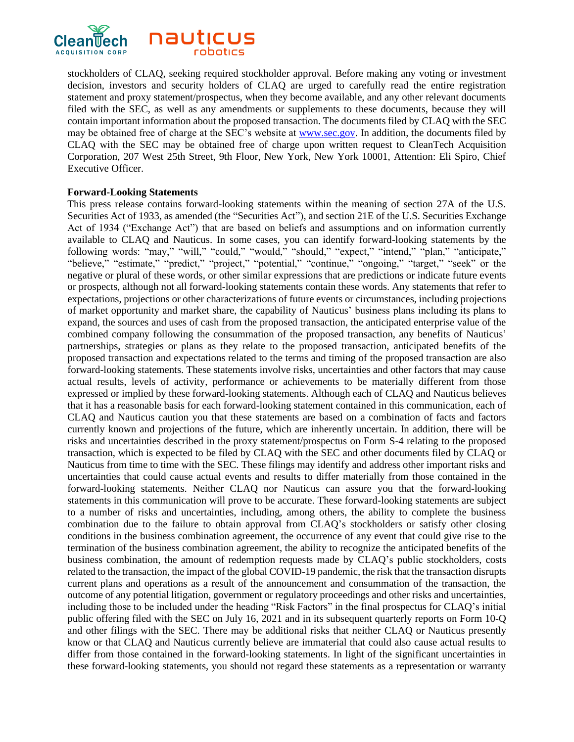

stockholders of CLAQ, seeking required stockholder approval. Before making any voting or investment decision, investors and security holders of CLAQ are urged to carefully read the entire registration statement and proxy statement/prospectus, when they become available, and any other relevant documents filed with the SEC, as well as any amendments or supplements to these documents, because they will contain important information about the proposed transaction. The documents filed by CLAQ with the SEC may be obtained free of charge at the SEC's website at www.sec.gov. In addition, the documents filed by CLAQ with the SEC may be obtained free of charge upon written request to CleanTech Acquisition Corporation, 207 West 25th Street, 9th Floor, New York, New York 10001, Attention: Eli Spiro, Chief Executive Officer.

### **Forward-Looking Statements**

This press release contains forward-looking statements within the meaning of section 27A of the U.S. Securities Act of 1933, as amended (the "Securities Act"), and section 21E of the U.S. Securities Exchange Act of 1934 ("Exchange Act") that are based on beliefs and assumptions and on information currently available to CLAQ and Nauticus. In some cases, you can identify forward-looking statements by the following words: "may," "will," "could," "would," "should," "expect," "intend," "plan," "anticipate," "believe," "estimate," "predict," "project," "potential," "continue," "ongoing," "target," "seek" or the negative or plural of these words, or other similar expressions that are predictions or indicate future events or prospects, although not all forward-looking statements contain these words. Any statements that refer to expectations, projections or other characterizations of future events or circumstances, including projections of market opportunity and market share, the capability of Nauticus' business plans including its plans to expand, the sources and uses of cash from the proposed transaction, the anticipated enterprise value of the combined company following the consummation of the proposed transaction, any benefits of Nauticus' partnerships, strategies or plans as they relate to the proposed transaction, anticipated benefits of the proposed transaction and expectations related to the terms and timing of the proposed transaction are also forward-looking statements. These statements involve risks, uncertainties and other factors that may cause actual results, levels of activity, performance or achievements to be materially different from those expressed or implied by these forward-looking statements. Although each of CLAQ and Nauticus believes that it has a reasonable basis for each forward-looking statement contained in this communication, each of CLAQ and Nauticus caution you that these statements are based on a combination of facts and factors currently known and projections of the future, which are inherently uncertain. In addition, there will be risks and uncertainties described in the proxy statement/prospectus on Form S-4 relating to the proposed transaction, which is expected to be filed by CLAQ with the SEC and other documents filed by CLAQ or Nauticus from time to time with the SEC. These filings may identify and address other important risks and uncertainties that could cause actual events and results to differ materially from those contained in the forward-looking statements. Neither CLAQ nor Nauticus can assure you that the forward-looking statements in this communication will prove to be accurate. These forward-looking statements are subject to a number of risks and uncertainties, including, among others, the ability to complete the business combination due to the failure to obtain approval from CLAQ's stockholders or satisfy other closing conditions in the business combination agreement, the occurrence of any event that could give rise to the termination of the business combination agreement, the ability to recognize the anticipated benefits of the business combination, the amount of redemption requests made by CLAQ's public stockholders, costs related to the transaction, the impact of the global COVID-19 pandemic, the risk that the transaction disrupts current plans and operations as a result of the announcement and consummation of the transaction, the outcome of any potential litigation, government or regulatory proceedings and other risks and uncertainties, including those to be included under the heading "Risk Factors" in the final prospectus for CLAQ's initial public offering filed with the SEC on July 16, 2021 and in its subsequent quarterly reports on Form 10-Q and other filings with the SEC. There may be additional risks that neither CLAQ or Nauticus presently know or that CLAQ and Nauticus currently believe are immaterial that could also cause actual results to differ from those contained in the forward-looking statements. In light of the significant uncertainties in these forward-looking statements, you should not regard these statements as a representation or warranty